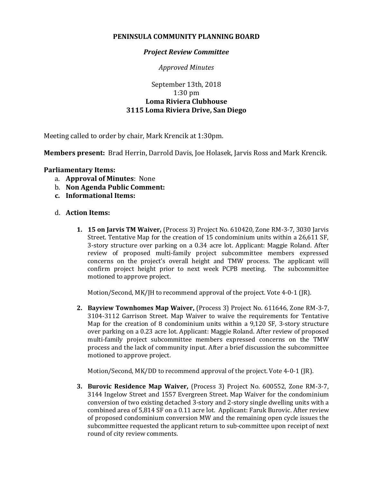## **PENINSULA COMMUNITY PLANNING BOARD**

## *Project Review Committee*

*Approved Minutes*

## September 13th, 2018 1:30 pm **Loma Riviera Clubhouse 3115 Loma Riviera Drive, San Diego**

Meeting called to order by chair, Mark Krencik at 1:30pm.

**Members present:** Brad Herrin, Darrold Davis, Joe Holasek, Jarvis Ross and Mark Krencik.

## **Parliamentary Items:**

- a. **Approval of Minutes**: None
- b. **Non Agenda Public Comment:**
- **c. Informational Items:**
- d. **Action Items:**
	- **1. 15 on Jarvis TM Waiver,** (Process 3) Project No. 610420, Zone RM-3-7, 3030 Jarvis Street. Tentative Map for the creation of 15 condominium units within a 26,611 SF, 3-story structure over parking on a 0.34 acre lot. Applicant: Maggie Roland. After review of proposed multi-family project subcommittee members expressed concerns on the project's overall height and TMW process. The applicant will confirm project height prior to next week PCPB meeting. The subcommittee motioned to approve project.

Motion/Second, MK/JH to recommend approval of the project. Vote 4-0-1 (JR).

**2. Bayview Townhomes Map Waiver,** (Process 3) Project No. 611646, Zone RM-3-7, 3104-3112 Garrison Street. Map Waiver to waive the requirements for Tentative Map for the creation of 8 condominium units within a 9,120 SF, 3-story structure over parking on a 0.23 acre lot. Applicant: Maggie Roland. After review of proposed multi-family project subcommittee members expressed concerns on the TMW process and the lack of community input. After a brief discussion the subcommittee motioned to approve project.

Motion/Second, MK/DD to recommend approval of the project. Vote 4-0-1 (JR).

**3. Burovic Residence Map Waiver,** (Process 3) Project No. 600552, Zone RM-3-7, 3144 Ingelow Street and 1557 Evergreen Street. Map Waiver for the condominium conversion of two existing detached 3-story and 2-story single dwelling units with a combined area of 5,814 SF on a 0.11 acre lot. Applicant: Faruk Burovic. After review of proposed condominium conversion MW and the remaining open cycle issues the subcommittee requested the applicant return to sub-committee upon receipt of next round of city review comments.